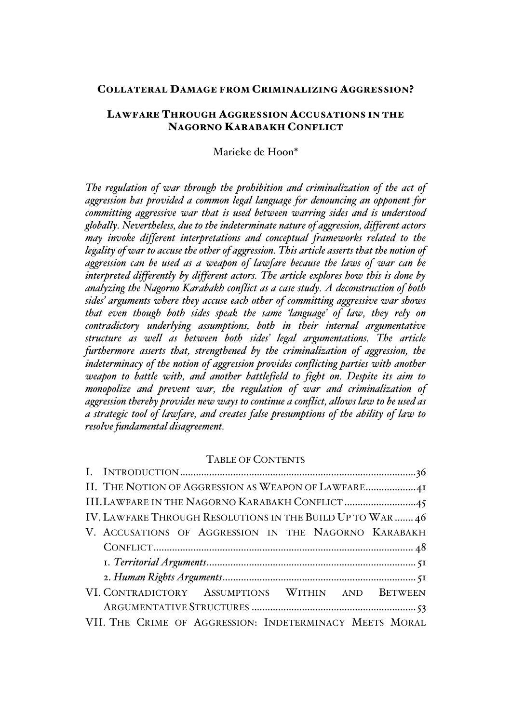## COLLATERAL DAMAGE FROM CRIMINALIZING AGGRESSION?

# LAWFARE THROUGH AGGRESSION ACCUSATIONS IN THE NAGORNO KARABAKH CONFLICT

Marieke de Hoon\*

The regulation of war through the prohibition and criminalization of the act of *aggression has provided a common legal language for denouncing an opponent for committing aggressive war that is used between warring sides and is understood globally. Nevertheless, due to the indeterminate nature of aggression, different actors may invoke different interpretations and conceptual frameworks related to the legality of war to accuse the other of aggression. This article asserts that the notion of aggression can be used as a weapon of lawfare because the laws of war can be interpreted differently by different actors. The article explores how this is done by analyzing the Nagorno Karabakh conflict as a case study. A deconstruction of both sides' arguments where they accuse each other of committing aggressive war shows that even though both sides speak the same 'language' of law, they rely on contradictory underlying assumptions, both in their internal argumentative structure as well as between both sides' legal argumentations. The article furthermore asserts that, strengthened by the criminalization of aggression, the indeterminacy of the notion of aggression provides conflicting parties with another weapon to battle with, and another battlefield to fight on. Despite its aim to monopolize and prevent war, the regulation of war and criminalization of aggression thereby provides new ways to continue a conflict, allows law to be used as a strategic tool of lawfare, and creates false presumptions of the ability of law to resolve fundamental disagreement.*

## TABLE OF CONTENTS

| III. LAWFARE IN THE NAGORNO KARABAKH CONFLICT 45           |  |
|------------------------------------------------------------|--|
| IV. LAWFARE THROUGH RESOLUTIONS IN THE BUILD UP TO WAR  46 |  |
| V. ACCUSATIONS OF AGGRESSION IN THE NAGORNO KARABAKH       |  |
|                                                            |  |
|                                                            |  |
|                                                            |  |
| VI. CONTRADICTORY ASSUMPTIONS WITHIN AND BETWEEN           |  |
|                                                            |  |
| VII. THE CRIME OF AGGRESSION: INDETERMINACY MEETS MORAL    |  |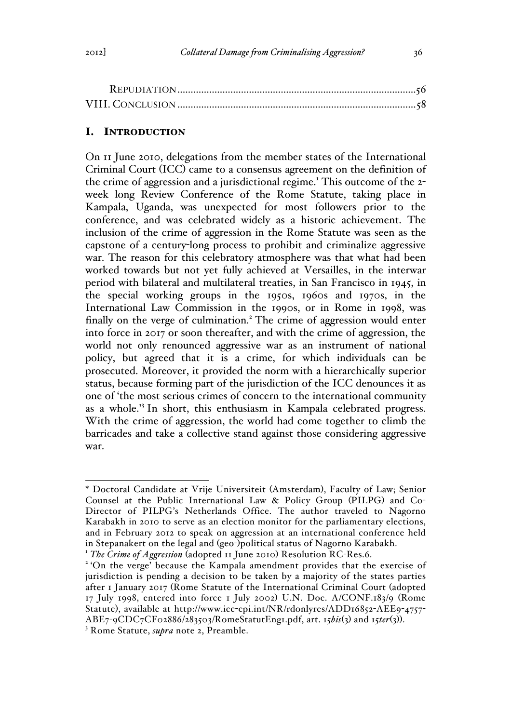# I. INTRODUCTION

On 11 June 2010, delegations from the member states of the International Criminal Court (ICC) came to a consensus agreement on the definition of the crime of aggression and a jurisdictional regime.<sup>1</sup> This outcome of the 2week long Review Conference of the Rome Statute, taking place in Kampala, Uganda, was unexpected for most followers prior to the conference, and was celebrated widely as a historic achievement. The inclusion of the crime of aggression in the Rome Statute was seen as the capstone of a century-long process to prohibit and criminalize aggressive war. The reason for this celebratory atmosphere was that what had been worked towards but not yet fully achieved at Versailles, in the interwar period with bilateral and multilateral treaties, in San Francisco in 1945, in the special working groups in the 1950s, 1960s and 1970s, in the International Law Commission in the 1990s, or in Rome in 1998, was finally on the verge of culmination.<sup>2</sup> The crime of aggression would enter into force in 2017 or soon thereafter, and with the crime of aggression, the world not only renounced aggressive war as an instrument of national policy, but agreed that it is a crime, for which individuals can be prosecuted. Moreover, it provided the norm with a hierarchically superior status, because forming part of the jurisdiction of the ICC denounces it as one of 'the most serious crimes of concern to the international community as a whole.'<sup>3</sup> In short, this enthusiasm in Kampala celebrated progress. With the crime of aggression, the world had come together to climb the barricades and take a collective stand against those considering aggressive war.

 <sup>\*</sup> Doctoral Candidate at Vrije Universiteit (Amsterdam), Faculty of Law; Senior Counsel at the Public International Law & Policy Group (PILPG) and Co-Director of PILPG's Netherlands Office. The author traveled to Nagorno Karabakh in 2010 to serve as an election monitor for the parliamentary elections, and in February 2012 to speak on aggression at an international conference held<br>in Stepanakert on the legal and (geo-)political status of Nagorno Karabakh.

<sup>&</sup>lt;sup>1</sup> The Crime of Aggression (adopted 11 June 2010) Resolution RC-Res.6.<br><sup>2</sup> 'On the verge' because the Kampala amendment provides that the exercise of

jurisdiction is pending a decision to be taken by a majority of the states parties after 1 January 2017 (Rome Statute of the International Criminal Court (adopted 17 July 1998, entered into force 1 July 2002) U.N. Doc. A/CONF.183/9 (Rome Statute), available at http://www.icc-cpi.int/NR/rdonlyres/ADD16852-AEE9-4757-ABE7-9CDC7CF02886/283503/RomeStatutEng1.pdf, art. 15*bis*(3) and 15*ter*(3)). 3 Rome Statute, *supra* note 2, Preamble.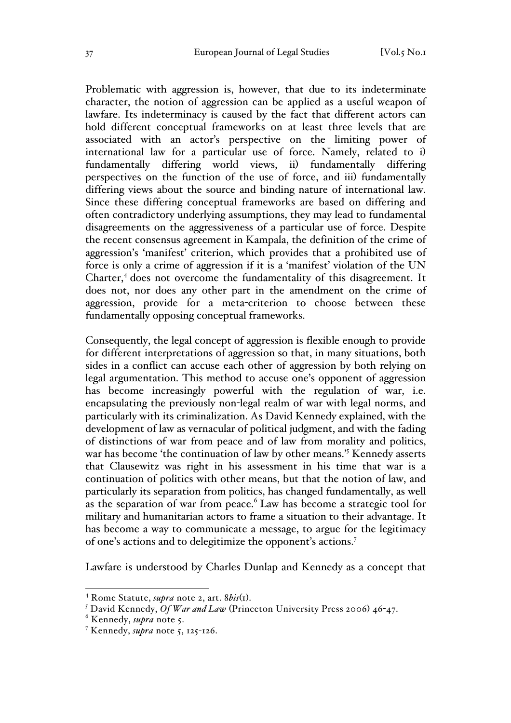Problematic with aggression is, however, that due to its indeterminate character, the notion of aggression can be applied as a useful weapon of lawfare. Its indeterminacy is caused by the fact that different actors can hold different conceptual frameworks on at least three levels that are associated with an actor's perspective on the limiting power of international law for a particular use of force. Namely, related to i) fundamentally differing world views, ii) fundamentally differing perspectives on the function of the use of force, and iii) fundamentally differing views about the source and binding nature of international law. Since these differing conceptual frameworks are based on differing and often contradictory underlying assumptions, they may lead to fundamental disagreements on the aggressiveness of a particular use of force. Despite the recent consensus agreement in Kampala, the definition of the crime of aggression's 'manifest' criterion, which provides that a prohibited use of force is only a crime of aggression if it is a 'manifest' violation of the UN Charter,<sup>4</sup> does not overcome the fundamentality of this disagreement. It does not, nor does any other part in the amendment on the crime of aggression, provide for a meta-criterion to choose between these fundamentally opposing conceptual frameworks.

Consequently, the legal concept of aggression is flexible enough to provide for different interpretations of aggression so that, in many situations, both sides in a conflict can accuse each other of aggression by both relying on legal argumentation. This method to accuse one's opponent of aggression has become increasingly powerful with the regulation of war, i.e. encapsulating the previously non-legal realm of war with legal norms, and particularly with its criminalization. As David Kennedy explained, with the development of law as vernacular of political judgment, and with the fading of distinctions of war from peace and of law from morality and politics, war has become 'the continuation of law by other means.'5 Kennedy asserts that Clausewitz was right in his assessment in his time that war is a continuation of politics with other means, but that the notion of law, and particularly its separation from politics, has changed fundamentally, as well as the separation of war from peace.<sup>6</sup> Law has become a strategic tool for military and humanitarian actors to frame a situation to their advantage. It has become a way to communicate a message, to argue for the legitimacy of one's actions and to delegitimize the opponent's actions.7

Lawfare is understood by Charles Dunlap and Kennedy as a concept that

<sup>&</sup>lt;sup>4</sup> Rome Statute, *supra* note 2, art. *8bis*(1).<br><sup>5</sup> David Kennedy, *Of War and Law* (Princeton University Press 2006) 46-47.

<sup>6</sup> Kennedy, *supra* note 5.

<sup>&</sup>lt;sup>7</sup> Kennedy, *supra* note 5, 125-126.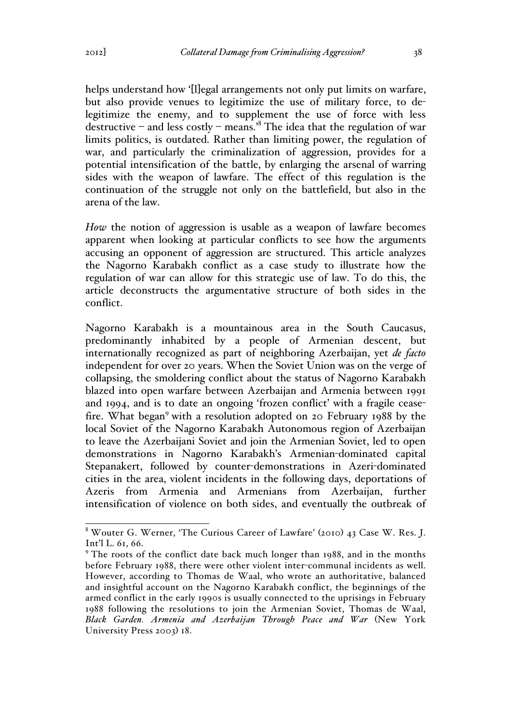helps understand how '[I]egal arrangements not only put limits on warfare, but also provide venues to legitimize the use of military force, to delegitimize the enemy, and to supplement the use of force with less destructive – and less costly – means.<sup>8</sup> The idea that the regulation of war limits politics, is outdated. Rather than limiting power, the regulation of war, and particularly the criminalization of aggression, provides for a potential intensification of the battle, by enlarging the arsenal of warring sides with the weapon of lawfare. The effect of this regulation is the continuation of the struggle not only on the battlefield, but also in the arena of the law.

*How* the notion of aggression is usable as a weapon of lawfare becomes apparent when looking at particular conflicts to see how the arguments accusing an opponent of aggression are structured. This article analyzes the Nagorno Karabakh conflict as a case study to illustrate how the regulation of war can allow for this strategic use of law. To do this, the article deconstructs the argumentative structure of both sides in the conflict.

Nagorno Karabakh is a mountainous area in the South Caucasus, predominantly inhabited by a people of Armenian descent, but internationally recognized as part of neighboring Azerbaijan, yet *de facto* independent for over 20 years. When the Soviet Union was on the verge of collapsing, the smoldering conflict about the status of Nagorno Karabakh blazed into open warfare between Azerbaijan and Armenia between 1991 and 1994, and is to date an ongoing 'frozen conflict' with a fragile ceasefire. What began<sup>9</sup> with a resolution adopted on 20 February 1988 by the local Soviet of the Nagorno Karabakh Autonomous region of Azerbaijan to leave the Azerbaijani Soviet and join the Armenian Soviet, led to open demonstrations in Nagorno Karabakh's Armenian-dominated capital Stepanakert, followed by counter-demonstrations in Azeri-dominated cities in the area, violent incidents in the following days, deportations of Azeris from Armenia and Armenians from Azerbaijan, further intensification of violence on both sides, and eventually the outbreak of

 <sup>8</sup> Wouter G. Werner, 'The Curious Career of Lawfare' (2010) 43 Case W. Res. J. Int'l L. 61, 66.

<sup>&</sup>lt;sup>9</sup> The roots of the conflict date back much longer than 1988, and in the months before February 1988, there were other violent inter-communal incidents as well. However, according to Thomas de Waal, who wrote an authoritative, balanced and insightful account on the Nagorno Karabakh conflict, the beginnings of the armed conflict in the early 1990s is usually connected to the uprisings in February 1988 following the resolutions to join the Armenian Soviet, Thomas de Waal, *Black Garden. Armenia and Azerbaijan Through Peace and War* (New York University Press 2003) 18.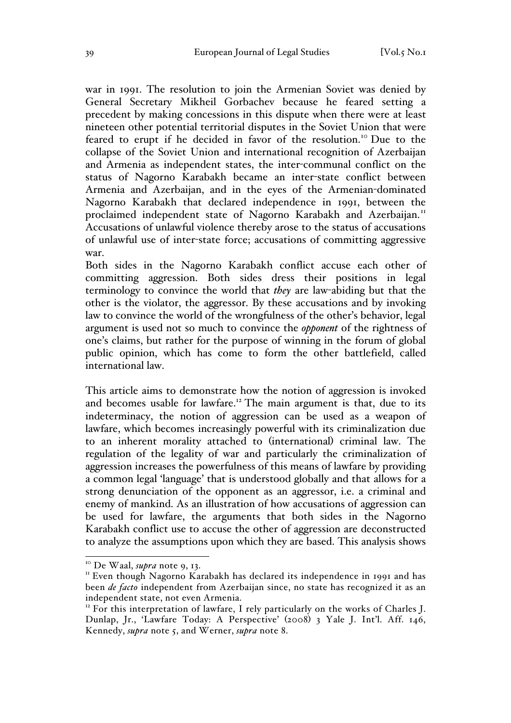war in 1991. The resolution to join the Armenian Soviet was denied by General Secretary Mikheil Gorbachev because he feared setting a precedent by making concessions in this dispute when there were at least nineteen other potential territorial disputes in the Soviet Union that were feared to erupt if he decided in favor of the resolution.<sup>10</sup> Due to the collapse of the Soviet Union and international recognition of Azerbaijan and Armenia as independent states, the inter-communal conflict on the status of Nagorno Karabakh became an inter-state conflict between Armenia and Azerbaijan, and in the eyes of the Armenian-dominated Nagorno Karabakh that declared independence in 1991, between the proclaimed independent state of Nagorno Karabakh and Azerbaijan.<sup>11</sup> Accusations of unlawful violence thereby arose to the status of accusations of unlawful use of inter-state force; accusations of committing aggressive war.

Both sides in the Nagorno Karabakh conflict accuse each other of committing aggression. Both sides dress their positions in legal terminology to convince the world that *they* are law-abiding but that the other is the violator, the aggressor. By these accusations and by invoking law to convince the world of the wrongfulness of the other's behavior, legal argument is used not so much to convince the *opponent* of the rightness of one's claims, but rather for the purpose of winning in the forum of global public opinion, which has come to form the other battlefield, called international law.

This article aims to demonstrate how the notion of aggression is invoked and becomes usable for lawfare.<sup>12</sup> The main argument is that, due to its indeterminacy, the notion of aggression can be used as a weapon of lawfare, which becomes increasingly powerful with its criminalization due to an inherent morality attached to (international) criminal law. The regulation of the legality of war and particularly the criminalization of aggression increases the powerfulness of this means of lawfare by providing a common legal 'language' that is understood globally and that allows for a strong denunciation of the opponent as an aggressor, i.e. a criminal and enemy of mankind. As an illustration of how accusations of aggression can be used for lawfare, the arguments that both sides in the Nagorno Karabakh conflict use to accuse the other of aggression are deconstructed to analyze the assumptions upon which they are based. This analysis shows

<sup>&</sup>lt;sup>10</sup> De Waal, *supra* note 9, 13.<br><sup>11</sup> Even though Nagorno Karabakh has declared its independence in 1991 and has been *de facto* independent from Azerbaijan since, no state has recognized it as an independent state, not even Armenia.

 $12$  For this interpretation of lawfare, I rely particularly on the works of Charles J. Dunlap, Jr., 'Lawfare Today: A Perspective' (2008) 3 Yale J. Int'l. Aff. 146, Kennedy, *supra* note 5, and Werner, *supra* note 8.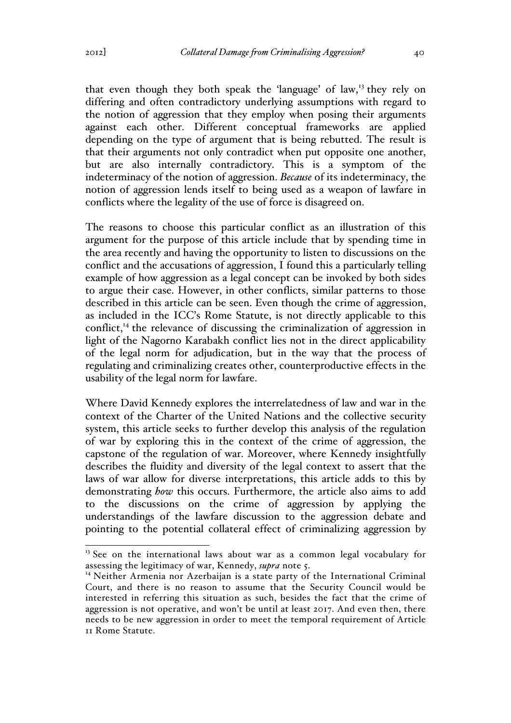that even though they both speak the 'language' of law,<sup>13</sup> they rely on differing and often contradictory underlying assumptions with regard to the notion of aggression that they employ when posing their arguments against each other. Different conceptual frameworks are applied depending on the type of argument that is being rebutted. The result is that their arguments not only contradict when put opposite one another, but are also internally contradictory. This is a symptom of the indeterminacy of the notion of aggression. *Because* of its indeterminacy, the notion of aggression lends itself to being used as a weapon of lawfare in conflicts where the legality of the use of force is disagreed on.

The reasons to choose this particular conflict as an illustration of this argument for the purpose of this article include that by spending time in the area recently and having the opportunity to listen to discussions on the conflict and the accusations of aggression, I found this a particularly telling example of how aggression as a legal concept can be invoked by both sides to argue their case. However, in other conflicts, similar patterns to those described in this article can be seen. Even though the crime of aggression, as included in the ICC's Rome Statute, is not directly applicable to this conflict,<sup> $14$ </sup> the relevance of discussing the criminalization of aggression in light of the Nagorno Karabakh conflict lies not in the direct applicability of the legal norm for adjudication, but in the way that the process of regulating and criminalizing creates other, counterproductive effects in the usability of the legal norm for lawfare.

Where David Kennedy explores the interrelatedness of law and war in the context of the Charter of the United Nations and the collective security system, this article seeks to further develop this analysis of the regulation of war by exploring this in the context of the crime of aggression, the capstone of the regulation of war. Moreover, where Kennedy insightfully describes the fluidity and diversity of the legal context to assert that the laws of war allow for diverse interpretations, this article adds to this by demonstrating *how* this occurs. Furthermore, the article also aims to add to the discussions on the crime of aggression by applying the understandings of the lawfare discussion to the aggression debate and pointing to the potential collateral effect of criminalizing aggression by

<sup>&</sup>lt;sup>13</sup> See on the international laws about war as a common legal vocabulary for assessing the legitimacy of war, Kennedy, *supra* note 5.

<sup>&</sup>lt;sup>14</sup> Neither Armenia nor Azerbaijan is a state party of the International Criminal Court, and there is no reason to assume that the Security Council would be interested in referring this situation as such, besides the fact that the crime of aggression is not operative, and won't be until at least 2017. And even then, there needs to be new aggression in order to meet the temporal requirement of Article 11 Rome Statute.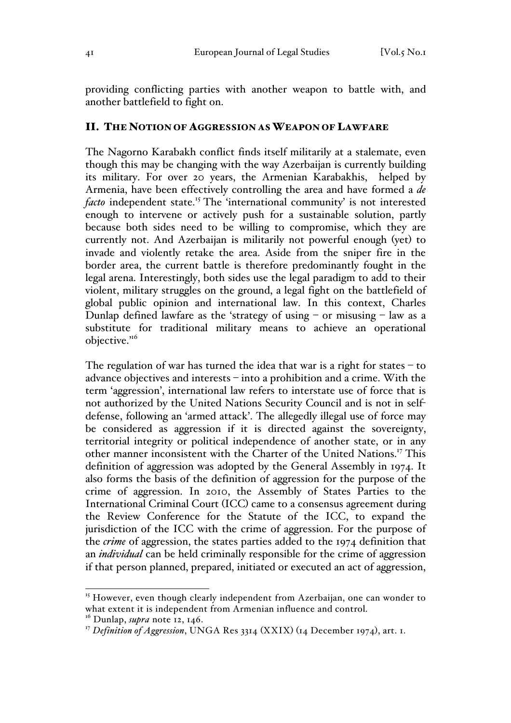providing conflicting parties with another weapon to battle with, and another battlefield to fight on.

### II. THE NOTION OF AGGRESSION AS WEAPON OF LAWFARE

The Nagorno Karabakh conflict finds itself militarily at a stalemate, even though this may be changing with the way Azerbaijan is currently building its military. For over 20 years, the Armenian Karabakhis, helped by Armenia, have been effectively controlling the area and have formed a *de facto* independent state.<sup>15</sup> The 'international community' is not interested enough to intervene or actively push for a sustainable solution, partly because both sides need to be willing to compromise, which they are currently not. And Azerbaijan is militarily not powerful enough (yet) to invade and violently retake the area. Aside from the sniper fire in the border area, the current battle is therefore predominantly fought in the legal arena. Interestingly, both sides use the legal paradigm to add to their violent, military struggles on the ground, a legal fight on the battlefield of global public opinion and international law. In this context, Charles Dunlap defined lawfare as the 'strategy of using  $-$  or misusing  $-$  law as a substitute for traditional military means to achieve an operational objective."<sup>6</sup>

The regulation of war has turned the idea that war is a right for states  $-$  to advance objectives and interests – into a prohibition and a crime. With the term 'aggression', international law refers to interstate use of force that is not authorized by the United Nations Security Council and is not in selfdefense, following an 'armed attack'. The allegedly illegal use of force may be considered as aggression if it is directed against the sovereignty, territorial integrity or political independence of another state, or in any other manner inconsistent with the Charter of the United Nations.<sup>17</sup> This definition of aggression was adopted by the General Assembly in 1974. It also forms the basis of the definition of aggression for the purpose of the crime of aggression. In 2010, the Assembly of States Parties to the International Criminal Court (ICC) came to a consensus agreement during the Review Conference for the Statute of the ICC, to expand the jurisdiction of the ICC with the crime of aggression. For the purpose of the *crime* of aggression, the states parties added to the 1974 definition that an *individual* can be held criminally responsible for the crime of aggression if that person planned, prepared, initiated or executed an act of aggression,

<sup>&</sup>lt;sup>15</sup> However, even though clearly independent from Azerbaijan, one can wonder to what extent it is independent from Armenian influence and control.

<sup>&</sup>lt;sup>16</sup> Dunlap, *supra* note 12, 146.

<sup>&</sup>lt;sup>17</sup> *Definition of Aggression*, UNGA Res 3314 (XXIX) (14 December 1974), art. 1.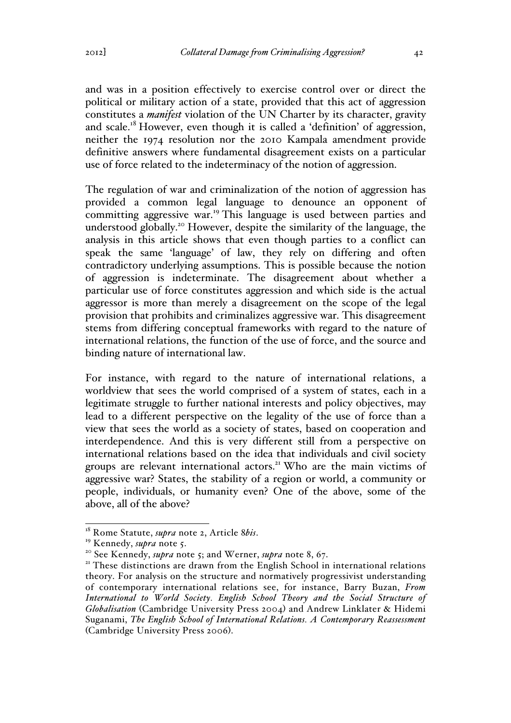and was in a position effectively to exercise control over or direct the political or military action of a state, provided that this act of aggression constitutes a *manifest* violation of the UN Charter by its character, gravity and scale.<sup>18</sup> However, even though it is called a 'definition' of aggression, neither the 1974 resolution nor the 2010 Kampala amendment provide definitive answers where fundamental disagreement exists on a particular use of force related to the indeterminacy of the notion of aggression.

The regulation of war and criminalization of the notion of aggression has provided a common legal language to denounce an opponent of committing aggressive war.<sup>19</sup> This language is used between parties and understood globally.<sup>20</sup> However, despite the similarity of the language, the analysis in this article shows that even though parties to a conflict can speak the same 'language' of law, they rely on differing and often contradictory underlying assumptions. This is possible because the notion of aggression is indeterminate. The disagreement about whether a particular use of force constitutes aggression and which side is the actual aggressor is more than merely a disagreement on the scope of the legal provision that prohibits and criminalizes aggressive war. This disagreement stems from differing conceptual frameworks with regard to the nature of international relations, the function of the use of force, and the source and binding nature of international law.

For instance, with regard to the nature of international relations, a worldview that sees the world comprised of a system of states, each in a legitimate struggle to further national interests and policy objectives, may lead to a different perspective on the legality of the use of force than a view that sees the world as a society of states, based on cooperation and interdependence. And this is very different still from a perspective on international relations based on the idea that individuals and civil society groups are relevant international actors.<sup>21</sup> Who are the main victims of aggressive war? States, the stability of a region or world, a community or people, individuals, or humanity even? One of the above, some of the above, all of the above?

<sup>&</sup>lt;sup>18</sup> Rome Statute, *supra* note 2, Article *8bis*.<br><sup>19</sup> Kennedy, *supra* note 5.<br><sup>20</sup> See Kennedy, *supra* note 5; and Werner, *supra* note 8, 67.<br><sup>21</sup> These distinctions are drawn from the English School in international theory. For analysis on the structure and normatively progressivist understanding of contemporary international relations see, for instance, Barry Buzan, *From International to World Society. English School Theory and the Social Structure of Globalisation* (Cambridge University Press 2004) and Andrew Linklater & Hidemi Suganami, *The English School of International Relations. A Contemporary Reassessment* (Cambridge University Press 2006).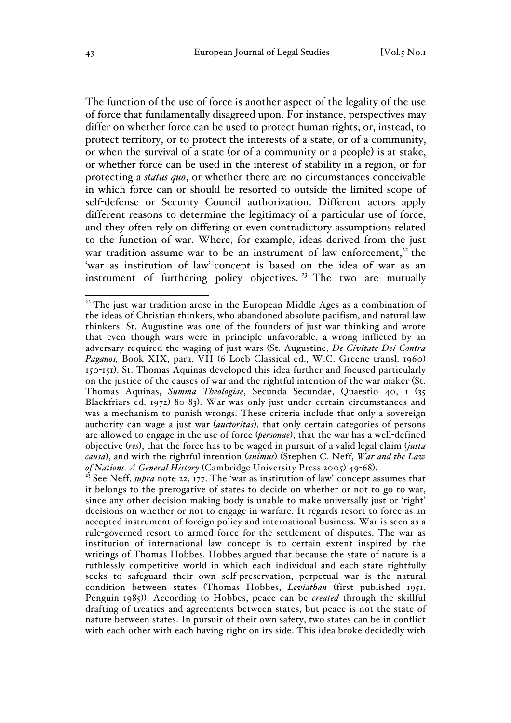The function of the use of force is another aspect of the legality of the use of force that fundamentally disagreed upon. For instance, perspectives may differ on whether force can be used to protect human rights, or, instead, to protect territory, or to protect the interests of a state, or of a community, or when the survival of a state (or of a community or a people) is at stake, or whether force can be used in the interest of stability in a region, or for protecting a *status quo*, or whether there are no circumstances conceivable in which force can or should be resorted to outside the limited scope of self-defense or Security Council authorization. Different actors apply different reasons to determine the legitimacy of a particular use of force, and they often rely on differing or even contradictory assumptions related to the function of war. Where, for example, ideas derived from the just war tradition assume war to be an instrument of law enforcement, $22$  the 'war as institution of law'-concept is based on the idea of war as an instrument of furthering policy objectives.<sup>23</sup> The two are mutually

<sup>&</sup>lt;sup>22</sup> The just war tradition arose in the European Middle Ages as a combination of the ideas of Christian thinkers, who abandoned absolute pacifism, and natural law thinkers. St. Augustine was one of the founders of just war thinking and wrote that even though wars were in principle unfavorable, a wrong inflicted by an adversary required the waging of just wars (St. Augustine, *De Civitate Dei Contra Paganos,* Book XIX, para. VII (6 Loeb Classical ed., W.C. Greene transl. 1960) 150-151). St. Thomas Aquinas developed this idea further and focused particularly on the justice of the causes of war and the rightful intention of the war maker (St. Thomas Aquinas, *Summa Theologiae*, Secunda Secundae, Quaestio 40, 1 (35 Blackfriars ed. 1972) 80-83). War was only just under certain circumstances and was a mechanism to punish wrongs. These criteria include that only a sovereign authority can wage a just war (*auctoritas*), that only certain categories of persons are allowed to engage in the use of force (*personae*), that the war has a well-defined objective (*res*), that the force has to be waged in pursuit of a valid legal claim (*justa causa*), and with the rightful intention (*animus*) (Stephen C. Neff, *War and the Law of Nations. A General History* (Cambridge University Press 2005) 49-68). 23 See Neff, *supra* note 22, 177. The 'war as institution of law'-concept assumes that

it belongs to the prerogative of states to decide on whether or not to go to war, since any other decision-making body is unable to make universally just or 'right' decisions on whether or not to engage in warfare. It regards resort to force as an accepted instrument of foreign policy and international business. War is seen as a rule-governed resort to armed force for the settlement of disputes. The war as institution of international law concept is to certain extent inspired by the writings of Thomas Hobbes. Hobbes argued that because the state of nature is a ruthlessly competitive world in which each individual and each state rightfully seeks to safeguard their own self-preservation, perpetual war is the natural condition between states (Thomas Hobbes, *Leviathan* (first published 1951, Penguin 1985)). According to Hobbes, peace can be *created* through the skillful drafting of treaties and agreements between states, but peace is not the state of nature between states. In pursuit of their own safety, two states can be in conflict with each other with each having right on its side. This idea broke decidedly with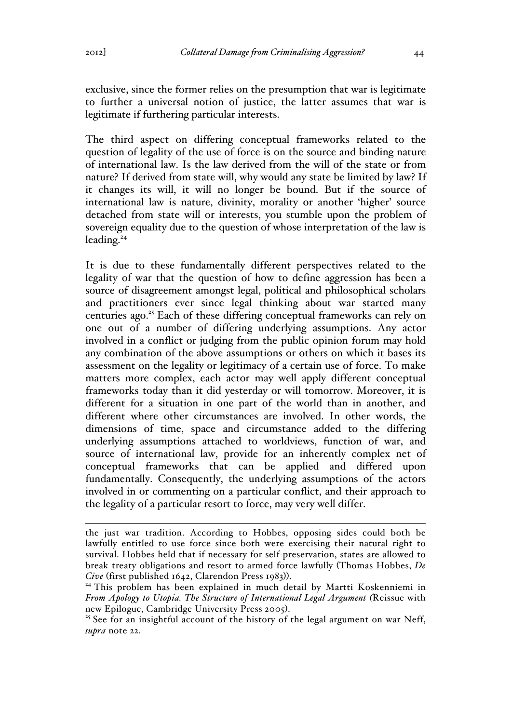exclusive, since the former relies on the presumption that war is legitimate to further a universal notion of justice, the latter assumes that war is legitimate if furthering particular interests.

The third aspect on differing conceptual frameworks related to the question of legality of the use of force is on the source and binding nature of international law. Is the law derived from the will of the state or from nature? If derived from state will, why would any state be limited by law? If it changes its will, it will no longer be bound. But if the source of international law is nature, divinity, morality or another 'higher' source detached from state will or interests, you stumble upon the problem of sovereign equality due to the question of whose interpretation of the law is leading. $24$ 

It is due to these fundamentally different perspectives related to the legality of war that the question of how to define aggression has been a source of disagreement amongst legal, political and philosophical scholars and practitioners ever since legal thinking about war started many centuries ago.<sup>25</sup> Each of these differing conceptual frameworks can rely on one out of a number of differing underlying assumptions. Any actor involved in a conflict or judging from the public opinion forum may hold any combination of the above assumptions or others on which it bases its assessment on the legality or legitimacy of a certain use of force. To make matters more complex, each actor may well apply different conceptual frameworks today than it did yesterday or will tomorrow. Moreover, it is different for a situation in one part of the world than in another, and different where other circumstances are involved. In other words, the dimensions of time, space and circumstance added to the differing underlying assumptions attached to worldviews, function of war, and source of international law, provide for an inherently complex net of conceptual frameworks that can be applied and differed upon fundamentally. Consequently, the underlying assumptions of the actors involved in or commenting on a particular conflict, and their approach to the legality of a particular resort to force, may very well differ.

the just war tradition. According to Hobbes, opposing sides could both be lawfully entitled to use force since both were exercising their natural right to survival. Hobbes held that if necessary for self-preservation, states are allowed to break treaty obligations and resort to armed force lawfully (Thomas Hobbes, *De Cive* (first published 1642, Clarendon Press 1983)).<br><sup>24</sup> This problem has been explained in much detail by Martti Koskenniemi in

*From Apology to Utopia. The Structure of International Legal Argument (Reissue with new Epilogue, Cambridge University Press 2005).* 

<sup>&</sup>lt;sup>25</sup> See for an insightful account of the history of the legal argument on war Neff, *supra* note 22.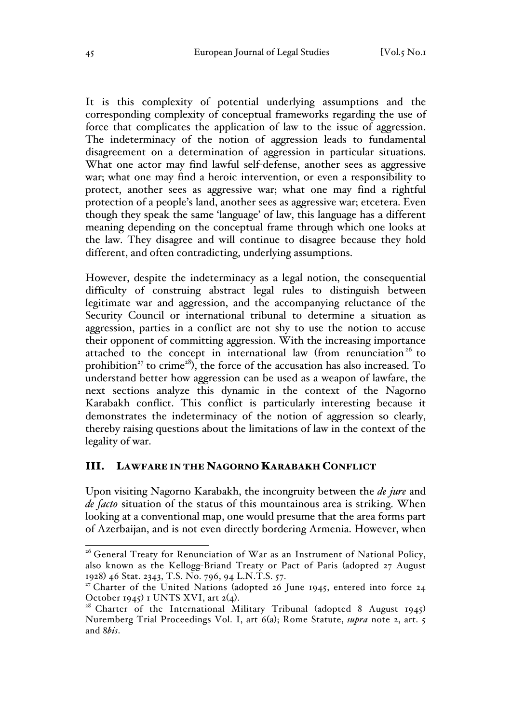It is this complexity of potential underlying assumptions and the corresponding complexity of conceptual frameworks regarding the use of force that complicates the application of law to the issue of aggression. The indeterminacy of the notion of aggression leads to fundamental disagreement on a determination of aggression in particular situations. What one actor may find lawful self-defense, another sees as aggressive war; what one may find a heroic intervention, or even a responsibility to protect, another sees as aggressive war; what one may find a rightful protection of a people's land, another sees as aggressive war; etcetera. Even though they speak the same 'language' of law, this language has a different meaning depending on the conceptual frame through which one looks at the law. They disagree and will continue to disagree because they hold different, and often contradicting, underlying assumptions.

However, despite the indeterminacy as a legal notion, the consequential difficulty of construing abstract legal rules to distinguish between legitimate war and aggression, and the accompanying reluctance of the Security Council or international tribunal to determine a situation as aggression, parties in a conflict are not shy to use the notion to accuse their opponent of committing aggression. With the increasing importance attached to the concept in international law (from renunciation<sup>26</sup> to prohibition<sup>27</sup> to crime<sup>28</sup>), the force of the accusation has also increased. To understand better how aggression can be used as a weapon of lawfare, the next sections analyze this dynamic in the context of the Nagorno Karabakh conflict. This conflict is particularly interesting because it demonstrates the indeterminacy of the notion of aggression so clearly, thereby raising questions about the limitations of law in the context of the legality of war.

# III. LAWFARE IN THE NAGORNO KARABAKH CONFLICT

Upon visiting Nagorno Karabakh, the incongruity between the *de jure* and *de facto* situation of the status of this mountainous area is striking. When looking at a conventional map, one would presume that the area forms part of Azerbaijan, and is not even directly bordering Armenia. However, when

<sup>&</sup>lt;sup>26</sup> General Treaty for Renunciation of War as an Instrument of National Policy, also known as the Kellogg-Briand Treaty or Pact of Paris (adopted 27 August 1928) 46 Stat. 2343, T.S. No. 796, 94 L.N.T.S. 57.

 $27$  Charter of the United Nations (adopted 26 June 1945, entered into force 24 October 1945) 1 UNTS XVI, art 2(4).<br><sup>28</sup> Charter of the International Military Tribunal (adopted 8 August 1945)

Nuremberg Trial Proceedings Vol. I, art 6(a); Rome Statute, *supra* note 2, art. 5 and 8*bis*.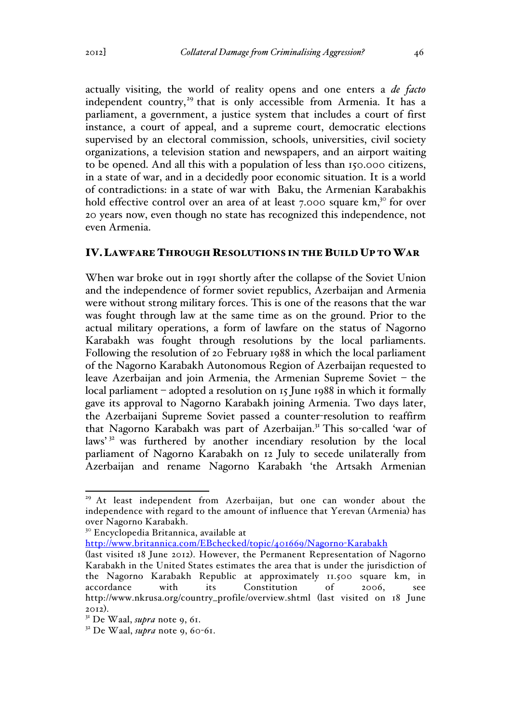actually visiting, the world of reality opens and one enters a *de facto* independent country,<sup>29</sup> that is only accessible from Armenia. It has a parliament, a government, a justice system that includes a court of first instance, a court of appeal, and a supreme court, democratic elections supervised by an electoral commission, schools, universities, civil society organizations, a television station and newspapers, and an airport waiting to be opened. And all this with a population of less than 150.000 citizens, in a state of war, and in a decidedly poor economic situation. It is a world of contradictions: in a state of war with Baku, the Armenian Karabakhis hold effective control over an area of at least  $7.000$  square  $km$ <sup>30</sup> for over 20 years now, even though no state has recognized this independence, not even Armenia.

### IV.LAWFARE THROUGH RESOLUTIONS IN THE BUILD UP TO WAR

When war broke out in 1991 shortly after the collapse of the Soviet Union and the independence of former soviet republics, Azerbaijan and Armenia were without strong military forces. This is one of the reasons that the war was fought through law at the same time as on the ground. Prior to the actual military operations, a form of lawfare on the status of Nagorno Karabakh was fought through resolutions by the local parliaments. Following the resolution of 20 February 1988 in which the local parliament of the Nagorno Karabakh Autonomous Region of Azerbaijan requested to leave Azerbaijan and join Armenia, the Armenian Supreme Soviet – the local parliament – adopted a resolution on 15 June 1988 in which it formally gave its approval to Nagorno Karabakh joining Armenia. Two days later, the Azerbaijani Supreme Soviet passed a counter-resolution to reaffirm that Nagorno Karabakh was part of Azerbaijan.<sup>31</sup> This so-called 'war of laws'<sup>32</sup> was furthered by another incendiary resolution by the local parliament of Nagorno Karabakh on 12 July to secede unilaterally from Azerbaijan and rename Nagorno Karabakh 'the Artsakh Armenian

http://www.britannica.com/EBchecked/topic/401669/Nagorno-Karabakh

<sup>&</sup>lt;sup>29</sup> At least independent from Azerbaijan, but one can wonder about the independence with regard to the amount of influence that Yerevan (Armenia) has over Nagorno Karabakh.

<sup>30</sup> Encyclopedia Britannica, available at

<sup>(</sup>last visited 18 June 2012). However, the Permanent Representation of Nagorno Karabakh in the United States estimates the area that is under the jurisdiction of the Nagorno Karabakh Republic at approximately 11.500 square km, in accordance with its Constitution of 2006, see http://www.nkrusa.org/country\_profile/overview.shtml (last visited on 18 June

<sup>2012</sup>). <sup>31</sup> De Waal, *supra* note 9, 61.

 $32$  De Waal, *supra* note 9, 60-61.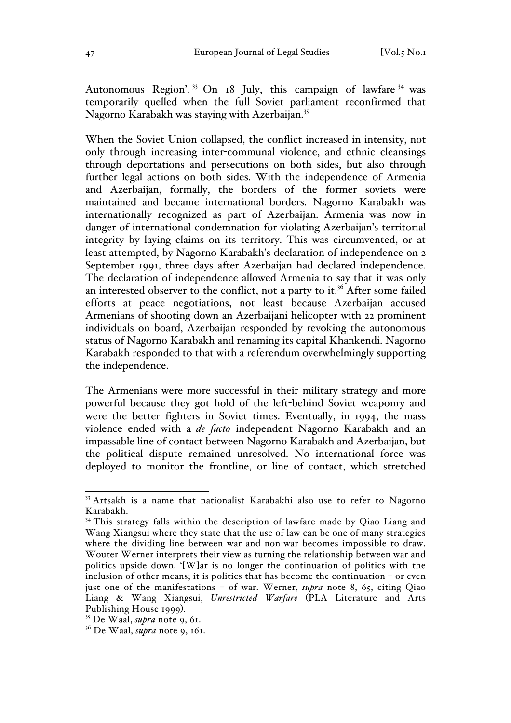Autonomous Region'.<sup>33</sup> On 18 July, this campaign of lawfare<sup>34</sup> was temporarily quelled when the full Soviet parliament reconfirmed that Nagorno Karabakh was staying with Azerbaijan.<sup>35</sup>

When the Soviet Union collapsed, the conflict increased in intensity, not only through increasing inter-communal violence, and ethnic cleansings through deportations and persecutions on both sides, but also through further legal actions on both sides. With the independence of Armenia and Azerbaijan, formally, the borders of the former soviets were maintained and became international borders. Nagorno Karabakh was internationally recognized as part of Azerbaijan. Armenia was now in danger of international condemnation for violating Azerbaijan's territorial integrity by laying claims on its territory. This was circumvented, or at least attempted, by Nagorno Karabakh's declaration of independence on 2 September 1991, three days after Azerbaijan had declared independence. The declaration of independence allowed Armenia to say that it was only an interested observer to the conflict, not a party to it.<sup>36</sup> After some failed efforts at peace negotiations, not least because Azerbaijan accused Armenians of shooting down an Azerbaijani helicopter with 22 prominent individuals on board, Azerbaijan responded by revoking the autonomous status of Nagorno Karabakh and renaming its capital Khankendi. Nagorno Karabakh responded to that with a referendum overwhelmingly supporting the independence.

The Armenians were more successful in their military strategy and more powerful because they got hold of the left-behind Soviet weaponry and were the better fighters in Soviet times. Eventually, in 1994, the mass violence ended with a *de facto* independent Nagorno Karabakh and an impassable line of contact between Nagorno Karabakh and Azerbaijan, but the political dispute remained unresolved. No international force was deployed to monitor the frontline, or line of contact, which stretched

<sup>&</sup>lt;sup>33</sup> Artsakh is a name that nationalist Karabakhi also use to refer to Nagorno Karabakh.

<sup>&</sup>lt;sup>34</sup> This strategy falls within the description of lawfare made by Qiao Liang and Wang Xiangsui where they state that the use of law can be one of many strategies where the dividing line between war and non-war becomes impossible to draw. Wouter Werner interprets their view as turning the relationship between war and politics upside down. '[W]ar is no longer the continuation of politics with the inclusion of other means; it is politics that has become the continuation – or even just one of the manifestations – of war. Werner, *supra* note 8, 65, citing Qiao Liang & Wang Xiangsui, *Unrestricted Warfare* (PLA Literature and Arts

 $^{35}$  De Waal, *supra* note 9, 61.

<sup>36</sup> De Waal, *supra* note 9, 161.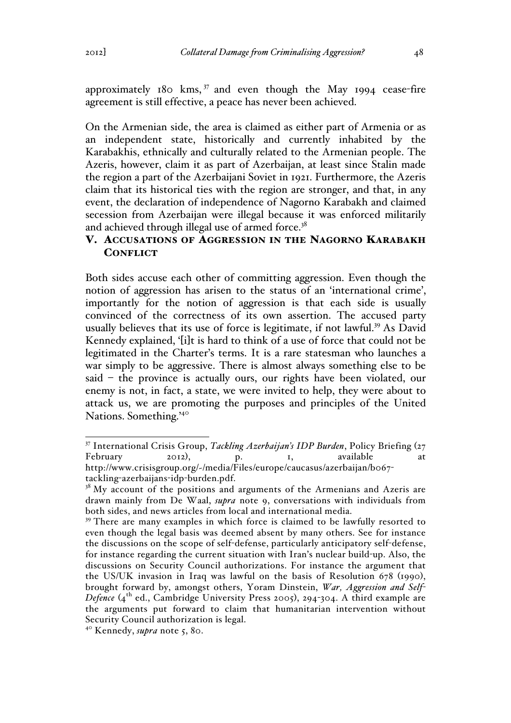approximately 180 kms,  $37$  and even though the May 1994 cease-fire agreement is still effective, a peace has never been achieved.

On the Armenian side, the area is claimed as either part of Armenia or as an independent state, historically and currently inhabited by the Karabakhis, ethnically and culturally related to the Armenian people. The Azeris, however, claim it as part of Azerbaijan, at least since Stalin made the region a part of the Azerbaijani Soviet in 1921. Furthermore, the Azeris claim that its historical ties with the region are stronger, and that, in any event, the declaration of independence of Nagorno Karabakh and claimed secession from Azerbaijan were illegal because it was enforced militarily and achieved through illegal use of armed force.<sup>38</sup>

# V. ACCUSATIONS OF AGGRESSION IN THE NAGORNO KARABAKH **CONFLICT**

Both sides accuse each other of committing aggression. Even though the notion of aggression has arisen to the status of an 'international crime', importantly for the notion of aggression is that each side is usually convinced of the correctness of its own assertion. The accused party usually believes that its use of force is legitimate, if not lawful.<sup>39</sup> As David Kennedy explained, '[i]t is hard to think of a use of force that could not be legitimated in the Charter's terms. It is a rare statesman who launches a war simply to be aggressive. There is almost always something else to be said – the province is actually ours, our rights have been violated, our enemy is not, in fact, a state, we were invited to help, they were about to attack us, we are promoting the purposes and principles of the United Nations. Something.'40

 <sup>37</sup> International Crisis Group, *Tackling Azerbaijan's IDP Burden*, Policy Briefing (<sup>27</sup> February 2012), p. 1, available at http://www.crisisgroup.org/~/media/Files/europe/caucasus/azerbaijan/b067 tackling-azerbaijans-idp-burden.pdf.

 $38$  My account of the positions and arguments of the Armenians and Azeris are drawn mainly from De Waal, *supra* note 9, conversations with individuals from both sides, and news articles from local and international media.

<sup>&</sup>lt;sup>39</sup> There are many examples in which force is claimed to be lawfully resorted to even though the legal basis was deemed absent by many others. See for instance the discussions on the scope of self-defense, particularly anticipatory self-defense, for instance regarding the current situation with Iran's nuclear build-up. Also, the discussions on Security Council authorizations. For instance the argument that the US/UK invasion in Iraq was lawful on the basis of Resolution 678 (1990), brought forward by, amongst others, Yoram Dinstein, *War, Aggression and Self-*Defence (4<sup>th</sup> ed., Cambridge University Press 2005), 294-304. A third example are the arguments put forward to claim that humanitarian intervention without Security Council authorization is legal.

<sup>40</sup> Kennedy, *supra* note 5, 80.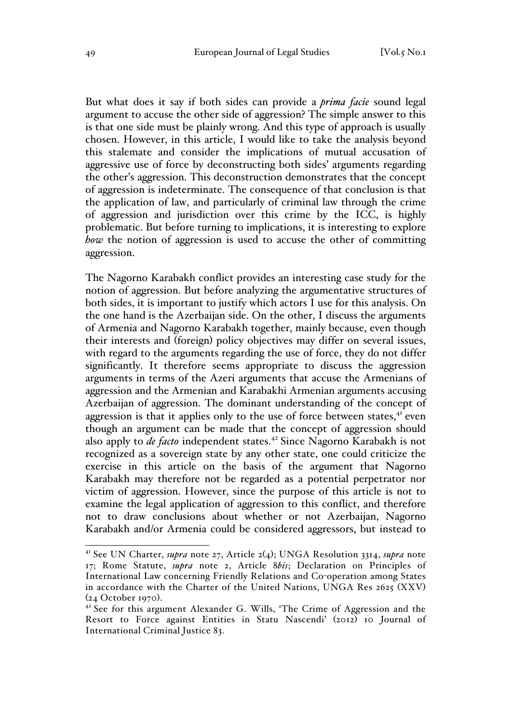But what does it say if both sides can provide a *prima facie* sound legal argument to accuse the other side of aggression? The simple answer to this is that one side must be plainly wrong. And this type of approach is usually chosen. However, in this article, I would like to take the analysis beyond this stalemate and consider the implications of mutual accusation of aggressive use of force by deconstructing both sides' arguments regarding the other's aggression. This deconstruction demonstrates that the concept of aggression is indeterminate. The consequence of that conclusion is that the application of law, and particularly of criminal law through the crime of aggression and jurisdiction over this crime by the ICC, is highly problematic. But before turning to implications, it is interesting to explore *how* the notion of aggression is used to accuse the other of committing aggression.

The Nagorno Karabakh conflict provides an interesting case study for the notion of aggression. But before analyzing the argumentative structures of both sides, it is important to justify which actors I use for this analysis. On the one hand is the Azerbaijan side. On the other, I discuss the arguments of Armenia and Nagorno Karabakh together, mainly because, even though their interests and (foreign) policy objectives may differ on several issues, with regard to the arguments regarding the use of force, they do not differ significantly. It therefore seems appropriate to discuss the aggression arguments in terms of the Azeri arguments that accuse the Armenians of aggression and the Armenian and Karabakhi Armenian arguments accusing Azerbaijan of aggression. The dominant understanding of the concept of aggression is that it applies only to the use of force between states, $4$ <sup>t</sup> even though an argument can be made that the concept of aggression should also apply to *de facto* independent states.<sup>42</sup> Since Nagorno Karabakh is not recognized as a sovereign state by any other state, one could criticize the exercise in this article on the basis of the argument that Nagorno Karabakh may therefore not be regarded as a potential perpetrator nor victim of aggression. However, since the purpose of this article is not to examine the legal application of aggression to this conflict, and therefore not to draw conclusions about whether or not Azerbaijan, Nagorno Karabakh and/or Armenia could be considered aggressors, but instead to

 <sup>41</sup> See UN Charter, *supra* note 27, Article 2(4); UNGA Resolution 3314, *supra* note 17; Rome Statute, *supra* note 2, Article 8*bis*; Declaration on Principles of International Law concerning Friendly Relations and Co-operation among States in accordance with the Charter of the United Nations, UNGA Res 2625 (XXV) ( $24$  October 1970).<br><sup>42</sup> See for this argument Alexander G. Wills, 'The Crime of Aggression and the

Resort to Force against Entities in Statu Nascendi' (2012) 10 Journal of International Criminal Justice 83.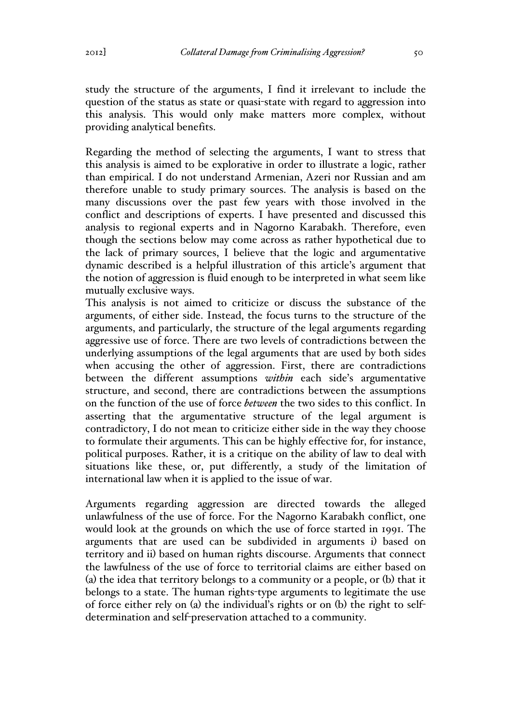study the structure of the arguments, I find it irrelevant to include the question of the status as state or quasi-state with regard to aggression into this analysis. This would only make matters more complex, without providing analytical benefits.

Regarding the method of selecting the arguments, I want to stress that this analysis is aimed to be explorative in order to illustrate a logic, rather than empirical. I do not understand Armenian, Azeri nor Russian and am therefore unable to study primary sources. The analysis is based on the many discussions over the past few years with those involved in the conflict and descriptions of experts. I have presented and discussed this analysis to regional experts and in Nagorno Karabakh. Therefore, even though the sections below may come across as rather hypothetical due to the lack of primary sources, I believe that the logic and argumentative dynamic described is a helpful illustration of this article's argument that the notion of aggression is fluid enough to be interpreted in what seem like mutually exclusive ways.

This analysis is not aimed to criticize or discuss the substance of the arguments, of either side. Instead, the focus turns to the structure of the arguments, and particularly, the structure of the legal arguments regarding aggressive use of force. There are two levels of contradictions between the underlying assumptions of the legal arguments that are used by both sides when accusing the other of aggression. First, there are contradictions between the different assumptions *within* each side's argumentative structure, and second, there are contradictions between the assumptions on the function of the use of force *between* the two sides to this conflict. In asserting that the argumentative structure of the legal argument is contradictory, I do not mean to criticize either side in the way they choose to formulate their arguments. This can be highly effective for, for instance, political purposes. Rather, it is a critique on the ability of law to deal with situations like these, or, put differently, a study of the limitation of international law when it is applied to the issue of war.

Arguments regarding aggression are directed towards the alleged unlawfulness of the use of force. For the Nagorno Karabakh conflict, one would look at the grounds on which the use of force started in 1991. The arguments that are used can be subdivided in arguments i) based on territory and ii) based on human rights discourse. Arguments that connect the lawfulness of the use of force to territorial claims are either based on (a) the idea that territory belongs to a community or a people, or (b) that it belongs to a state. The human rights-type arguments to legitimate the use of force either rely on (a) the individual's rights or on (b) the right to selfdetermination and self-preservation attached to a community.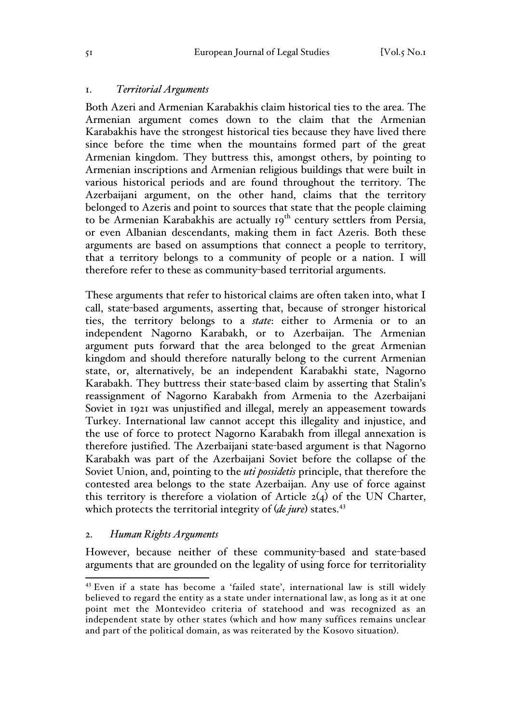### 1. *Territorial Arguments*

Both Azeri and Armenian Karabakhis claim historical ties to the area. The Armenian argument comes down to the claim that the Armenian Karabakhis have the strongest historical ties because they have lived there since before the time when the mountains formed part of the great Armenian kingdom. They buttress this, amongst others, by pointing to Armenian inscriptions and Armenian religious buildings that were built in various historical periods and are found throughout the territory. The Azerbaijani argument, on the other hand, claims that the territory belonged to Azeris and point to sources that state that the people claiming to be Armenian Karabakhis are actually  $19^{th}$  century settlers from Persia, or even Albanian descendants, making them in fact Azeris. Both these arguments are based on assumptions that connect a people to territory, that a territory belongs to a community of people or a nation. I will therefore refer to these as community-based territorial arguments.

These arguments that refer to historical claims are often taken into, what I call, state-based arguments, asserting that, because of stronger historical ties, the territory belongs to a *state*: either to Armenia or to an independent Nagorno Karabakh, or to Azerbaijan. The Armenian argument puts forward that the area belonged to the great Armenian kingdom and should therefore naturally belong to the current Armenian state, or, alternatively, be an independent Karabakhi state, Nagorno Karabakh. They buttress their state-based claim by asserting that Stalin's reassignment of Nagorno Karabakh from Armenia to the Azerbaijani Soviet in 1921 was unjustified and illegal, merely an appeasement towards Turkey. International law cannot accept this illegality and injustice, and the use of force to protect Nagorno Karabakh from illegal annexation is therefore justified. The Azerbaijani state-based argument is that Nagorno Karabakh was part of the Azerbaijani Soviet before the collapse of the Soviet Union, and, pointing to the *uti possidetis* principle, that therefore the contested area belongs to the state Azerbaijan. Any use of force against this territory is therefore a violation of Article  $2(4)$  of the UN Charter, which protects the territorial integrity of (*de jure*) states.<sup>43</sup>

#### 2. *Human Rights Arguments*

However, because neither of these community-based and state-based arguments that are grounded on the legality of using force for territoriality

 <sup>43</sup> Even if a state has become a 'failed state', international law is still widely believed to regard the entity as a state under international law, as long as it at one point met the Montevideo criteria of statehood and was recognized as an independent state by other states (which and how many suffices remains unclear and part of the political domain, as was reiterated by the Kosovo situation).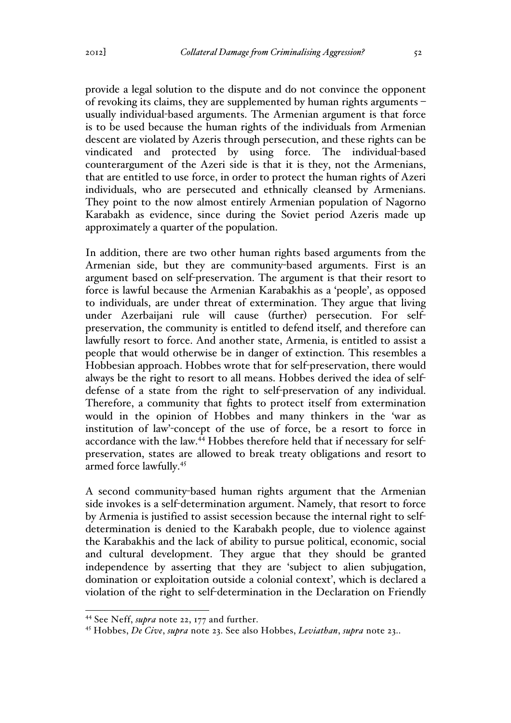provide a legal solution to the dispute and do not convince the opponent of revoking its claims, they are supplemented by human rights arguments – usually individual-based arguments. The Armenian argument is that force is to be used because the human rights of the individuals from Armenian descent are violated by Azeris through persecution, and these rights can be vindicated and protected by using force. The individual-based counterargument of the Azeri side is that it is they, not the Armenians, that are entitled to use force, in order to protect the human rights of Azeri individuals, who are persecuted and ethnically cleansed by Armenians. They point to the now almost entirely Armenian population of Nagorno Karabakh as evidence, since during the Soviet period Azeris made up approximately a quarter of the population.

In addition, there are two other human rights based arguments from the Armenian side, but they are community-based arguments. First is an argument based on self-preservation. The argument is that their resort to force is lawful because the Armenian Karabakhis as a 'people', as opposed to individuals, are under threat of extermination. They argue that living under Azerbaijani rule will cause (further) persecution. For selfpreservation, the community is entitled to defend itself, and therefore can lawfully resort to force. And another state, Armenia, is entitled to assist a people that would otherwise be in danger of extinction. This resembles a Hobbesian approach. Hobbes wrote that for self-preservation, there would always be the right to resort to all means. Hobbes derived the idea of selfdefense of a state from the right to self-preservation of any individual. Therefore, a community that fights to protect itself from extermination would in the opinion of Hobbes and many thinkers in the 'war as institution of law'-concept of the use of force, be a resort to force in accordance with the law.<sup>44</sup> Hobbes therefore held that if necessary for selfpreservation, states are allowed to break treaty obligations and resort to armed force lawfully.45

A second community-based human rights argument that the Armenian side invokes is a self-determination argument. Namely, that resort to force by Armenia is justified to assist secession because the internal right to selfdetermination is denied to the Karabakh people, due to violence against the Karabakhis and the lack of ability to pursue political, economic, social and cultural development. They argue that they should be granted independence by asserting that they are 'subject to alien subjugation, domination or exploitation outside a colonial context', which is declared a violation of the right to self-determination in the Declaration on Friendly

 <sup>44</sup> See Neff, *supra* note 22, 177 and further.

<sup>45</sup> Hobbes, *De Cive*, *supra* note 23. See also Hobbes, *Leviathan*, *supra* note 23..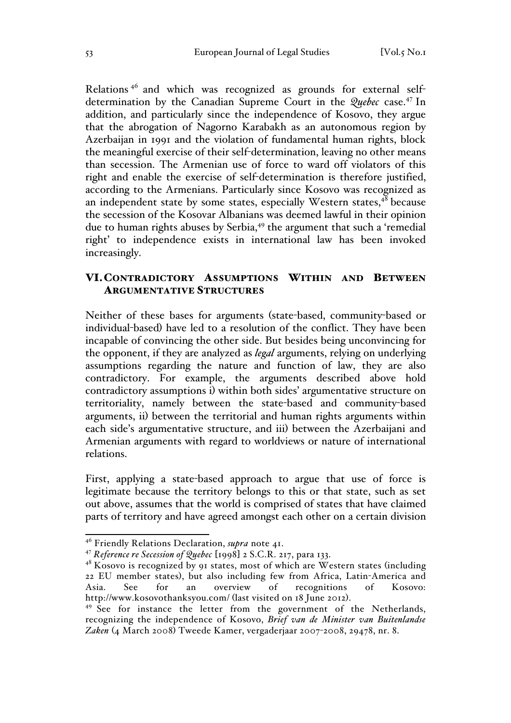Relations <sup>46</sup> and which was recognized as grounds for external selfdetermination by the Canadian Supreme Court in the *Quebec* case.<sup>47</sup> In addition, and particularly since the independence of Kosovo, they argue that the abrogation of Nagorno Karabakh as an autonomous region by Azerbaijan in 1991 and the violation of fundamental human rights, block the meaningful exercise of their self-determination, leaving no other means than secession. The Armenian use of force to ward off violators of this right and enable the exercise of self-determination is therefore justified, according to the Armenians. Particularly since Kosovo was recognized as an independent state by some states, especially Western states, $48$  because the secession of the Kosovar Albanians was deemed lawful in their opinion due to human rights abuses by Serbia,<sup>49</sup> the argument that such a 'remedial right' to independence exists in international law has been invoked increasingly.

# VI.CONTRADICTORY ASSUMPTIONS WITHIN AND BETWEEN ARGUMENTATIVE STRUCTURES

Neither of these bases for arguments (state-based, community-based or individual-based) have led to a resolution of the conflict. They have been incapable of convincing the other side. But besides being unconvincing for the opponent, if they are analyzed as *legal* arguments, relying on underlying assumptions regarding the nature and function of law, they are also contradictory. For example, the arguments described above hold contradictory assumptions i) within both sides' argumentative structure on territoriality, namely between the state-based and community-based arguments, ii) between the territorial and human rights arguments within each side's argumentative structure, and iii) between the Azerbaijani and Armenian arguments with regard to worldviews or nature of international relations.

First, applying a state-based approach to argue that use of force is legitimate because the territory belongs to this or that state, such as set out above, assumes that the world is comprised of states that have claimed parts of territory and have agreed amongst each other on a certain division

 <sup>46</sup> Friendly Relations Declaration, *supra* note 41.

<sup>47</sup> *Reference re Secession of Quebec* [1998] 2 S.C.R. 217, para 133.

 $48$  Kosovo is recognized by 91 states, most of which are Western states (including 22 EU member states), but also including few from Africa, Latin-America and Asia. See for an overview of recognitions of Kosovo: http://www.kosovothanksyou.com/ (last visited on 18 June 2012).<br><sup>49</sup> See for instance the letter from the government of the Netherlands,

recognizing the independence of Kosovo, *Brief van de Minister van Buitenlandse Zaken* (4 March 2008) Tweede Kamer, vergaderjaar 2007-2008, 29478, nr. 8.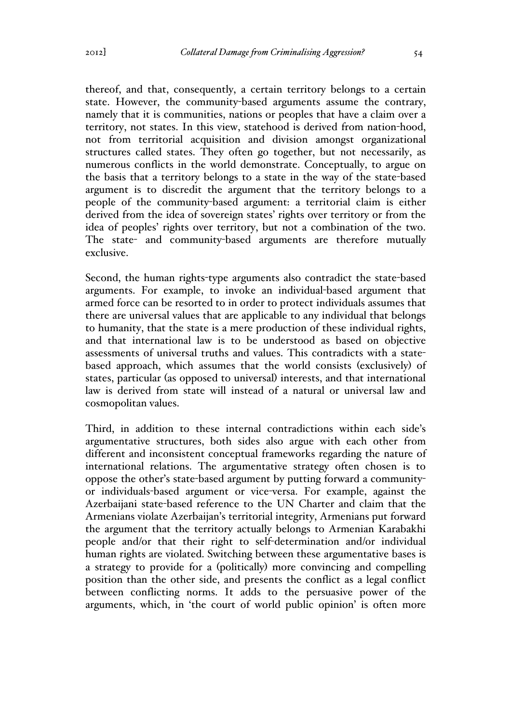thereof, and that, consequently, a certain territory belongs to a certain state. However, the community-based arguments assume the contrary, namely that it is communities, nations or peoples that have a claim over a territory, not states. In this view, statehood is derived from nation-hood, not from territorial acquisition and division amongst organizational structures called states. They often go together, but not necessarily, as numerous conflicts in the world demonstrate. Conceptually, to argue on the basis that a territory belongs to a state in the way of the state-based argument is to discredit the argument that the territory belongs to a people of the community-based argument: a territorial claim is either derived from the idea of sovereign states' rights over territory or from the idea of peoples' rights over territory, but not a combination of the two. The state- and community-based arguments are therefore mutually exclusive.

Second, the human rights-type arguments also contradict the state-based arguments. For example, to invoke an individual-based argument that armed force can be resorted to in order to protect individuals assumes that there are universal values that are applicable to any individual that belongs to humanity, that the state is a mere production of these individual rights, and that international law is to be understood as based on objective assessments of universal truths and values. This contradicts with a statebased approach, which assumes that the world consists (exclusively) of states, particular (as opposed to universal) interests, and that international law is derived from state will instead of a natural or universal law and cosmopolitan values.

Third, in addition to these internal contradictions within each side's argumentative structures, both sides also argue with each other from different and inconsistent conceptual frameworks regarding the nature of international relations. The argumentative strategy often chosen is to oppose the other's state-based argument by putting forward a communityor individuals-based argument or vice-versa. For example, against the Azerbaijani state-based reference to the UN Charter and claim that the Armenians violate Azerbaijan's territorial integrity, Armenians put forward the argument that the territory actually belongs to Armenian Karabakhi people and/or that their right to self-determination and/or individual human rights are violated. Switching between these argumentative bases is a strategy to provide for a (politically) more convincing and compelling position than the other side, and presents the conflict as a legal conflict between conflicting norms. It adds to the persuasive power of the arguments, which, in 'the court of world public opinion' is often more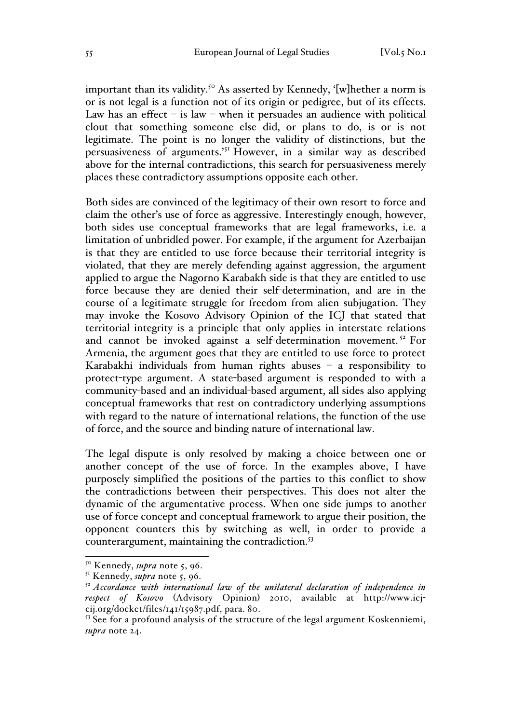important than its validity.<sup>50</sup> As asserted by Kennedy, '[w]hether a norm is or is not legal is a function not of its origin or pedigree, but of its effects. Law has an effect – is law – when it persuades an audience with political clout that something someone else did, or plans to do, is or is not legitimate. The point is no longer the validity of distinctions, but the persuasiveness of arguments.'<sup>51</sup> However, in a similar way as described above for the internal contradictions, this search for persuasiveness merely places these contradictory assumptions opposite each other.

Both sides are convinced of the legitimacy of their own resort to force and claim the other's use of force as aggressive. Interestingly enough, however, both sides use conceptual frameworks that are legal frameworks, i.e. a limitation of unbridled power. For example, if the argument for Azerbaijan is that they are entitled to use force because their territorial integrity is violated, that they are merely defending against aggression, the argument applied to argue the Nagorno Karabakh side is that they are entitled to use force because they are denied their self-determination, and are in the course of a legitimate struggle for freedom from alien subjugation. They may invoke the Kosovo Advisory Opinion of the ICJ that stated that territorial integrity is a principle that only applies in interstate relations and cannot be invoked against a self-determination movement.<sup>52</sup> For Armenia, the argument goes that they are entitled to use force to protect Karabakhi individuals from human rights abuses – a responsibility to protect-type argument. A state-based argument is responded to with a community-based and an individual-based argument, all sides also applying conceptual frameworks that rest on contradictory underlying assumptions with regard to the nature of international relations, the function of the use of force, and the source and binding nature of international law.

The legal dispute is only resolved by making a choice between one or another concept of the use of force. In the examples above, I have purposely simplified the positions of the parties to this conflict to show the contradictions between their perspectives. This does not alter the dynamic of the argumentative process. When one side jumps to another use of force concept and conceptual framework to argue their position, the opponent counters this by switching as well, in order to provide a counterargument, maintaining the contradiction.<sup>53</sup>

 <sup>50</sup> Kennedy, *supra* note 5, 96.

<sup>&</sup>lt;sup>51</sup> Kennedy, *supra* note 5, 96.

<sup>52</sup> *Accordance with international law of the unilateral declaration of independence in respect of Kosovo* (Advisory Opinion) 2010, available at http://www.icjcij.org/docket/files/141/15987.pdf, para. 80.

<sup>&</sup>lt;sup>53</sup> See for a profound analysis of the structure of the legal argument Koskenniemi, *supra* note 24.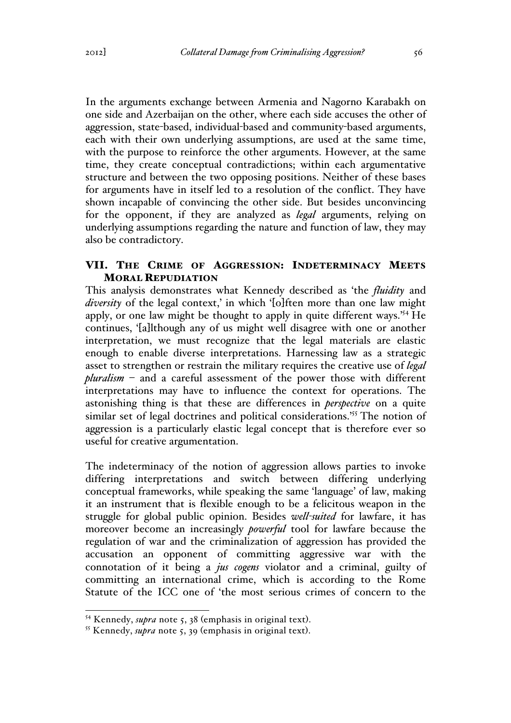In the arguments exchange between Armenia and Nagorno Karabakh on one side and Azerbaijan on the other, where each side accuses the other of aggression, state-based, individual-based and community-based arguments, each with their own underlying assumptions, are used at the same time, with the purpose to reinforce the other arguments. However, at the same time, they create conceptual contradictions; within each argumentative structure and between the two opposing positions. Neither of these bases for arguments have in itself led to a resolution of the conflict. They have shown incapable of convincing the other side. But besides unconvincing for the opponent, if they are analyzed as *legal* arguments, relying on underlying assumptions regarding the nature and function of law, they may also be contradictory.

# VII. THE CRIME OF AGGRESSION: INDETERMINACY MEETS MORAL REPUDIATION

This analysis demonstrates what Kennedy described as 'the *fluidity* and *diversity* of the legal context,' in which '[o]ften more than one law might apply, or one law might be thought to apply in quite different ways.'54 He continues, '[a]lthough any of us might well disagree with one or another interpretation, we must recognize that the legal materials are elastic enough to enable diverse interpretations. Harnessing law as a strategic asset to strengthen or restrain the military requires the creative use of *legal pluralism* – and a careful assessment of the power those with different interpretations may have to influence the context for operations. The astonishing thing is that these are differences in *perspective* on a quite similar set of legal doctrines and political considerations.<sup>'55</sup> The notion of aggression is a particularly elastic legal concept that is therefore ever so useful for creative argumentation.

The indeterminacy of the notion of aggression allows parties to invoke differing interpretations and switch between differing underlying conceptual frameworks, while speaking the same 'language' of law, making it an instrument that is flexible enough to be a felicitous weapon in the struggle for global public opinion. Besides *well-suited* for lawfare, it has moreover become an increasingly *powerful* tool for lawfare because the regulation of war and the criminalization of aggression has provided the accusation an opponent of committing aggressive war with the connotation of it being a *jus cogens* violator and a criminal, guilty of committing an international crime, which is according to the Rome Statute of the ICC one of 'the most serious crimes of concern to the

<sup>54</sup> Kennedy, *supra* note 5, 38 (emphasis in original text). <sup>55</sup> Kennedy, *supra* note 5, 39 (emphasis in original text).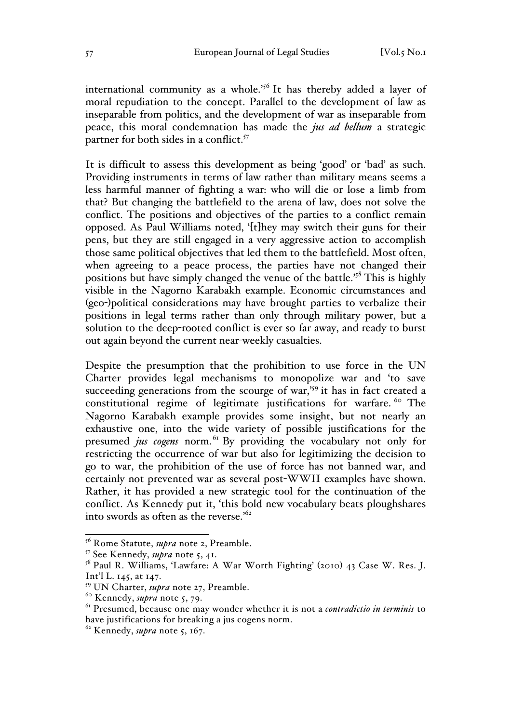international community as a whole.<sup>'56</sup> It has thereby added a layer of moral repudiation to the concept. Parallel to the development of law as inseparable from politics, and the development of war as inseparable from peace, this moral condemnation has made the *jus ad bellum* a strategic partner for both sides in a conflict.<sup>57</sup>

It is difficult to assess this development as being 'good' or 'bad' as such. Providing instruments in terms of law rather than military means seems a less harmful manner of fighting a war: who will die or lose a limb from that? But changing the battlefield to the arena of law, does not solve the conflict. The positions and objectives of the parties to a conflict remain opposed. As Paul Williams noted, '[t]hey may switch their guns for their pens, but they are still engaged in a very aggressive action to accomplish those same political objectives that led them to the battlefield. Most often, when agreeing to a peace process, the parties have not changed their positions but have simply changed the venue of the battle.'58 This is highly visible in the Nagorno Karabakh example. Economic circumstances and (geo-)political considerations may have brought parties to verbalize their positions in legal terms rather than only through military power, but a solution to the deep-rooted conflict is ever so far away, and ready to burst out again beyond the current near-weekly casualties.

Despite the presumption that the prohibition to use force in the UN Charter provides legal mechanisms to monopolize war and 'to save succeeding generations from the scourge of war,<sup>'59</sup> it has in fact created a constitutional regime of legitimate justifications for warfare. <sup>60</sup> The Nagorno Karabakh example provides some insight, but not nearly an exhaustive one, into the wide variety of possible justifications for the presumed *jus cogens* norm.<sup>61</sup> By providing the vocabulary not only for restricting the occurrence of war but also for legitimizing the decision to go to war, the prohibition of the use of force has not banned war, and certainly not prevented war as several post-WWII examples have shown. Rather, it has provided a new strategic tool for the continuation of the conflict. As Kennedy put it, 'this bold new vocabulary beats ploughshares into swords as often as the reverse.<sup>'62</sup>

 <sup>56</sup> Rome Statute, *supra* note 2, Preamble.

<sup>57</sup> See Kennedy, *supra* note 5, 41.

<sup>58</sup> Paul R. Williams, 'Lawfare: A War Worth Fighting' (2010) 43 Case W. Res. J. Int'l L. 145, at 147.

<sup>59</sup> UN Charter, *supra* note 27, Preamble.

<sup>60</sup> Kennedy, *supra* note 5, 79.

<sup>61</sup> Presumed, because one may wonder whether it is not a *contradictio in terminis* to have justifications for breaking a jus cogens norm. <sup>62</sup> Kennedy, *supra* note 5, 167.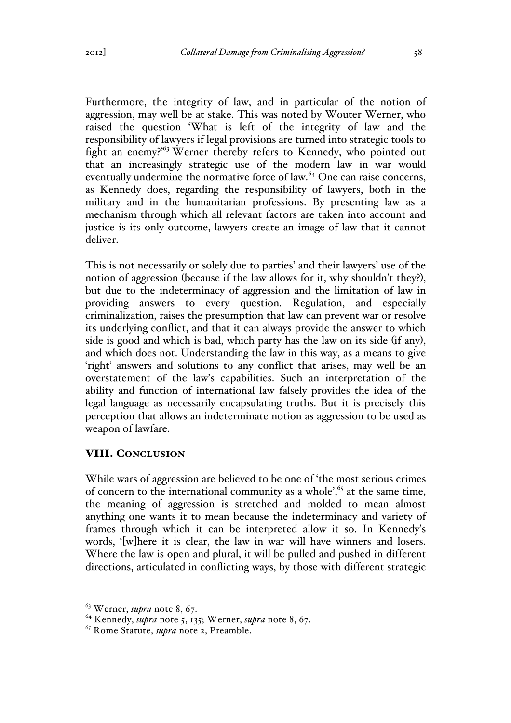Furthermore, the integrity of law, and in particular of the notion of aggression, may well be at stake. This was noted by Wouter Werner, who raised the question 'What is left of the integrity of law and the responsibility of lawyers if legal provisions are turned into strategic tools to fight an enemy?'<sup>63</sup> Werner thereby refers to Kennedy, who pointed out that an increasingly strategic use of the modern law in war would eventually undermine the normative force of law.<sup>64</sup> One can raise concerns, as Kennedy does, regarding the responsibility of lawyers, both in the military and in the humanitarian professions. By presenting law as a mechanism through which all relevant factors are taken into account and justice is its only outcome, lawyers create an image of law that it cannot deliver.

This is not necessarily or solely due to parties' and their lawyers' use of the notion of aggression (because if the law allows for it, why shouldn't they?), but due to the indeterminacy of aggression and the limitation of law in providing answers to every question. Regulation, and especially criminalization, raises the presumption that law can prevent war or resolve its underlying conflict, and that it can always provide the answer to which side is good and which is bad, which party has the law on its side (if any), and which does not. Understanding the law in this way, as a means to give 'right' answers and solutions to any conflict that arises, may well be an overstatement of the law's capabilities. Such an interpretation of the ability and function of international law falsely provides the idea of the legal language as necessarily encapsulating truths. But it is precisely this perception that allows an indeterminate notion as aggression to be used as weapon of lawfare.

## VIII. CONCLUSION

While wars of aggression are believed to be one of 'the most serious crimes of concern to the international community as a whole', $65$  at the same time, the meaning of aggression is stretched and molded to mean almost anything one wants it to mean because the indeterminacy and variety of frames through which it can be interpreted allow it so. In Kennedy's words, '[w]here it is clear, the law in war will have winners and losers. Where the law is open and plural, it will be pulled and pushed in different directions, articulated in conflicting ways, by those with different strategic

 <sup>63</sup> Werner, *supra* note 8, 67.

<sup>64</sup> Kennedy, *supra* note 5, 135; Werner, *supra* note 8, 67.

<sup>65</sup> Rome Statute, *supra* note 2, Preamble.